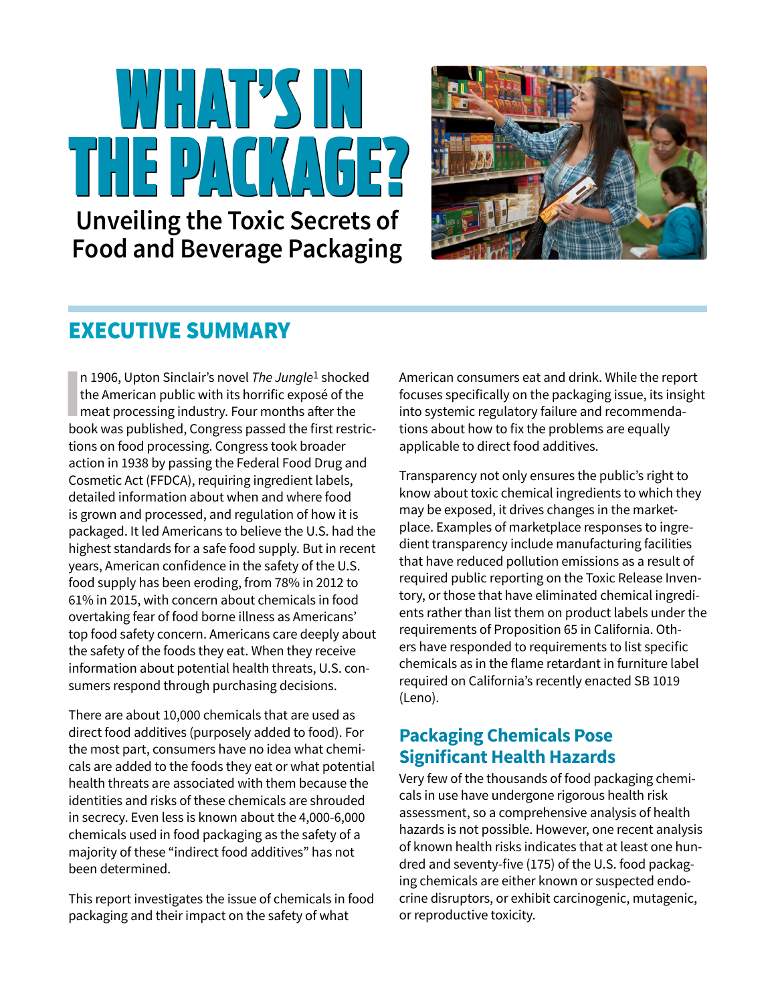# WHAT'S IN WHAT'S IN THE PACKAGE? THE PACKAGE? **Unveiling the Toxic Secrets of**

**Food and Beverage Packaging**



## EXECUTIVE SUMMARY

In 1906, Upton Sinclair's novel *The Jungle*<sup>1</sup> shocker<br>the American public with its horrific exposé of the<br>meat processing industry. Four months after the n 1906, Upton Sinclair's novel *The Jungle*1 shocked the American public with its horrific exposé of the book was published, Congress passed the first restrictions on food processing. Congress took broader action in 1938 by passing the Federal Food Drug and Cosmetic Act (FFDCA), requiring ingredient labels, detailed information about when and where food is grown and processed, and regulation of how it is packaged. It led Americans to believe the U.S. had the highest standards for a safe food supply. But in recent years, American confidence in the safety of the U.S. food supply has been eroding, from 78% in 2012 to 61% in 2015, with concern about chemicals in food overtaking fear of food borne illness as Americans' top food safety concern. Americans care deeply about the safety of the foods they eat. When they receive information about potential health threats, U.S. consumers respond through purchasing decisions.

There are about 10,000 chemicals that are used as direct food additives (purposely added to food). For the most part, consumers have no idea what chemicals are added to the foods they eat or what potential health threats are associated with them because the identities and risks of these chemicals are shrouded in secrecy. Even less is known about the 4,000-6,000 chemicals used in food packaging as the safety of a majority of these "indirect food additives" has not been determined.

This report investigates the issue of chemicals in food packaging and their impact on the safety of what

American consumers eat and drink. While the report focuses specifically on the packaging issue, its insight into systemic regulatory failure and recommendations about how to fix the problems are equally applicable to direct food additives.

Transparency not only ensures the public's right to know about toxic chemical ingredients to which they may be exposed, it drives changes in the marketplace. Examples of marketplace responses to ingredient transparency include manufacturing facilities that have reduced pollution emissions as a result of required public reporting on the Toxic Release Inventory, or those that have eliminated chemical ingredients rather than list them on product labels under the requirements of Proposition 65 in California. Others have responded to requirements to list specific chemicals as in the flame retardant in furniture label required on California's recently enacted SB 1019 (Leno).

## **Packaging Chemicals Pose Significant Health Hazards**

Very few of the thousands of food packaging chemicals in use have undergone rigorous health risk assessment, so a comprehensive analysis of health hazards is not possible. However, one recent analysis of known health risks indicates that at least one hundred and seventy-five (175) of the U.S. food packaging chemicals are either known or suspected endocrine disruptors, or exhibit carcinogenic, mutagenic, or reproductive toxicity.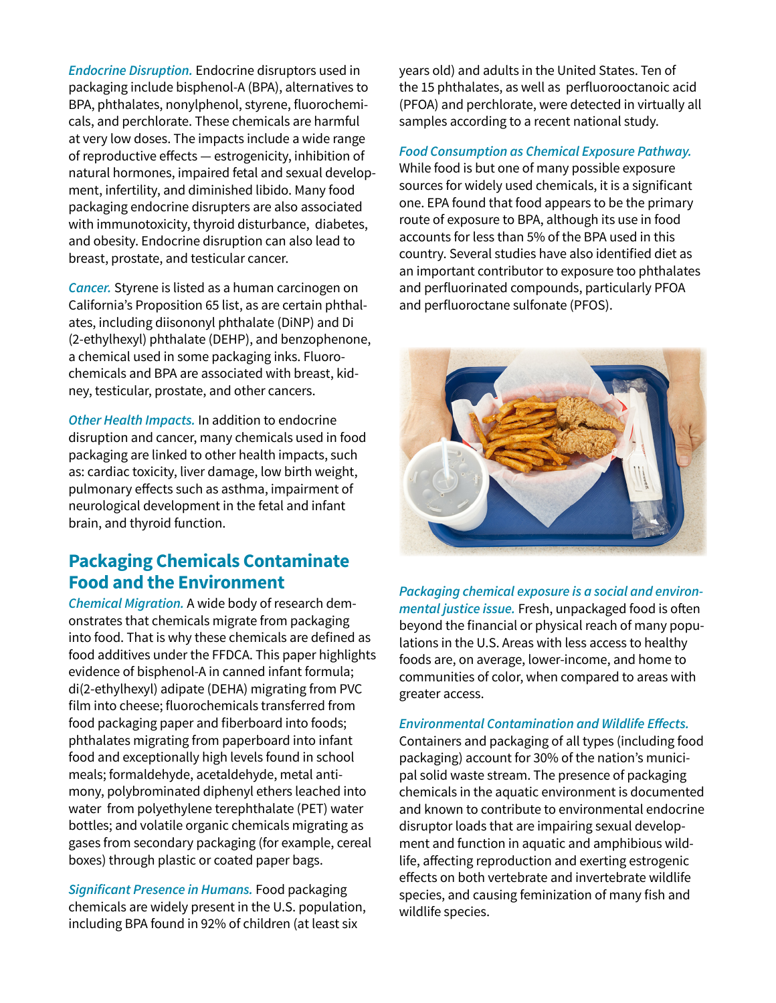*Endocrine Disruption.* Endocrine disruptors used in packaging include bisphenol-A (BPA), alternatives to BPA, phthalates, nonylphenol, styrene, fluorochemicals, and perchlorate. These chemicals are harmful at very low doses. The impacts include a wide range of reproductive effects — estrogenicity, inhibition of natural hormones, impaired fetal and sexual development, infertility, and diminished libido. Many food packaging endocrine disrupters are also associated with immunotoxicity, thyroid disturbance, diabetes, and obesity. Endocrine disruption can also lead to breast, prostate, and testicular cancer.

*Cancer.* Styrene is listed as a human carcinogen on California's Proposition 65 list, as are certain phthalates, including diisononyl phthalate (DiNP) and Di (2-ethylhexyl) phthalate (DEHP), and benzophenone, a chemical used in some packaging inks. Fluorochemicals and BPA are associated with breast, kidney, testicular, prostate, and other cancers.

*Other Health Impacts.* In addition to endocrine disruption and cancer, many chemicals used in food packaging are linked to other health impacts, such as: cardiac toxicity, liver damage, low birth weight, pulmonary effects such as asthma, impairment of neurological development in the fetal and infant brain, and thyroid function.

## **Packaging Chemicals Contaminate Food and the Environment**

*Chemical Migration.* A wide body of research demonstrates that chemicals migrate from packaging into food. That is why these chemicals are defined as food additives under the FFDCA. This paper highlights evidence of bisphenol-A in canned infant formula; di(2-ethylhexyl) adipate (DEHA) migrating from PVC film into cheese; fluorochemicals transferred from food packaging paper and fiberboard into foods; phthalates migrating from paperboard into infant food and exceptionally high levels found in school meals; formaldehyde, acetaldehyde, metal antimony, polybrominated diphenyl ethers leached into water from polyethylene terephthalate (PET) water bottles; and volatile organic chemicals migrating as gases from secondary packaging (for example, cereal boxes) through plastic or coated paper bags.

**Significant Presence in Humans.** Food packaging chemicals are widely present in the U.S. population, including BPA found in 92% of children (at least six

years old) and adults in the United States. Ten of the 15 phthalates, as well as perfluorooctanoic acid (PFOA) and perchlorate, were detected in virtually all samples according to a recent national study.

**Food Consumption as Chemical Exposure Pathway.** While food is but one of many possible exposure sources for widely used chemicals, it is a significant one. EPA found that food appears to be the primary route of exposure to BPA, although its use in food accounts for less than 5% of the BPA used in this country. Several studies have also identified diet as an important contributor to exposure too phthalates and perfluorinated compounds, particularly PFOA and perfluoroctane sulfonate (PFOS).



**Packaging chemical exposure is a social and environ***mental justice issue.* Fresh, unpackaged food is often beyond the financial or physical reach of many populations in the U.S. Areas with less access to healthy foods are, on average, lower-income, and home to communities of color, when compared to areas with greater access.

#### **Environmental Contamination and Wildlife Effects.**

Containers and packaging of all types (including food packaging) account for 30% of the nation's municipal solid waste stream. The presence of packaging chemicals in the aquatic environment is documented and known to contribute to environmental endocrine disruptor loads that are impairing sexual development and function in aquatic and amphibious wildlife, affecting reproduction and exerting estrogenic effects on both vertebrate and invertebrate wildlife species, and causing feminization of many fish and wildlife species.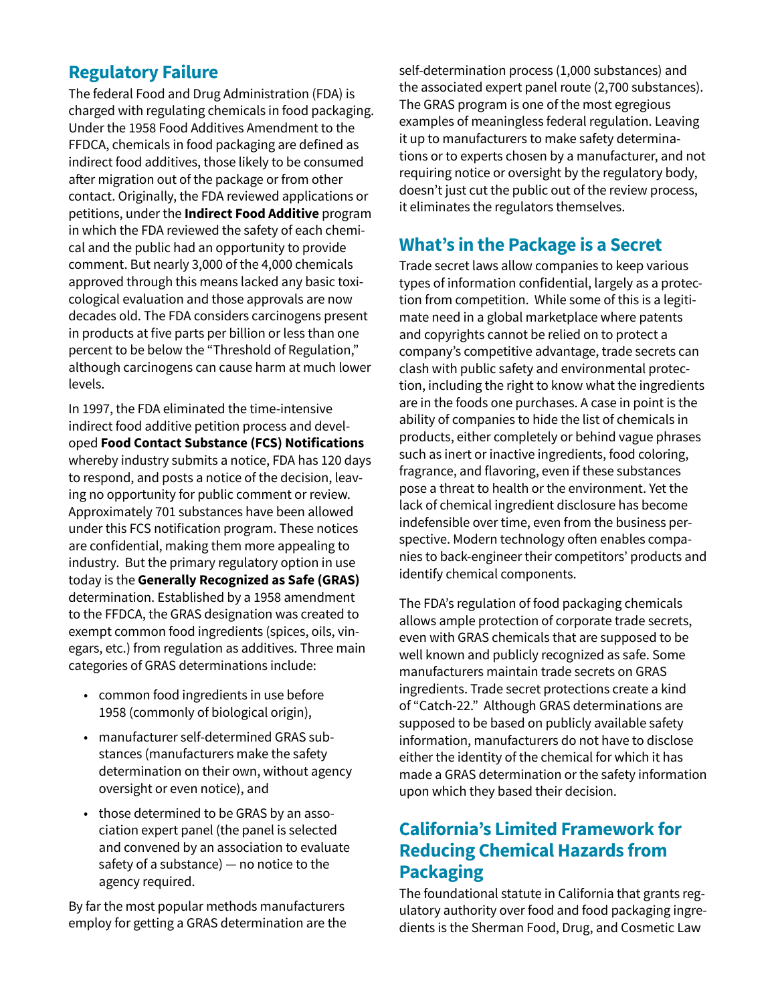## **Regulatory Failure**

The federal Food and Drug Administration (FDA) is charged with regulating chemicals in food packaging. Under the 1958 Food Additives Amendment to the FFDCA, chemicals in food packaging are defined as indirect food additives, those likely to be consumed after migration out of the package or from other contact. Originally, the FDA reviewed applications or petitions, under the **Indirect Food Additive** program in which the FDA reviewed the safety of each chemical and the public had an opportunity to provide comment. But nearly 3,000 of the 4,000 chemicals approved through this means lacked any basic toxicological evaluation and those approvals are now decades old. The FDA considers carcinogens present in products at five parts per billion or less than one percent to be below the "Threshold of Regulation," although carcinogens can cause harm at much lower levels.

In 1997, the FDA eliminated the time-intensive indirect food additive petition process and developed **Food Contact Substance (FCS) Notifications**  whereby industry submits a notice, FDA has 120 days to respond, and posts a notice of the decision, leaving no opportunity for public comment or review. Approximately 701 substances have been allowed under this FCS notification program. These notices are confidential, making them more appealing to industry. But the primary regulatory option in use today is the **Generally Recognized as Safe (GRAS)**  determination. Established by a 1958 amendment to the FFDCA, the GRAS designation was created to exempt common food ingredients (spices, oils, vinegars, etc.) from regulation as additives. Three main categories of GRAS determinations include:

- common food ingredients in use before 1958 (commonly of biological origin),
- manufacturer self-determined GRAS substances (manufacturers make the safety determination on their own, without agency oversight or even notice), and
- those determined to be GRAS by an association expert panel (the panel is selected and convened by an association to evaluate safety of a substance) — no notice to the agency required.

By far the most popular methods manufacturers employ for getting a GRAS determination are the self-determination process (1,000 substances) and the associated expert panel route (2,700 substances). The GRAS program is one of the most egregious examples of meaningless federal regulation. Leaving it up to manufacturers to make safety determinations or to experts chosen by a manufacturer, and not requiring notice or oversight by the regulatory body, doesn't just cut the public out of the review process, it eliminates the regulators themselves.

## **What's in the Package is a Secret**

Trade secret laws allow companies to keep various types of information confidential, largely as a protection from competition. While some of this is a legitimate need in a global marketplace where patents and copyrights cannot be relied on to protect a company's competitive advantage, trade secrets can clash with public safety and environmental protection, including the right to know what the ingredients are in the foods one purchases. A case in point is the ability of companies to hide the list of chemicals in products, either completely or behind vague phrases such as inert or inactive ingredients, food coloring, fragrance, and flavoring, even if these substances pose a threat to health or the environment. Yet the lack of chemical ingredient disclosure has become indefensible over time, even from the business perspective. Modern technology often enables companies to back-engineer their competitors' products and identify chemical components.

The FDA's regulation of food packaging chemicals allows ample protection of corporate trade secrets, even with GRAS chemicals that are supposed to be well known and publicly recognized as safe. Some manufacturers maintain trade secrets on GRAS ingredients. Trade secret protections create a kind of "Catch-22." Although GRAS determinations are supposed to be based on publicly available safety information, manufacturers do not have to disclose either the identity of the chemical for which it has made a GRAS determination or the safety information upon which they based their decision.

## **California's Limited Framework for Reducing Chemical Hazards from Packaging**

The foundational statute in California that grants regulatory authority over food and food packaging ingredients is the Sherman Food, Drug, and Cosmetic Law